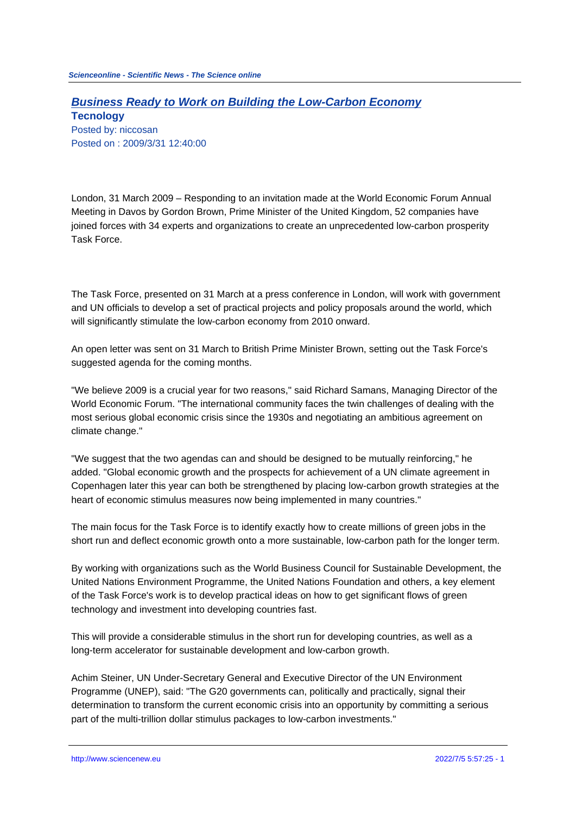## **Business Ready to Work on Building the Low-Carbon Economy Tecnology**

Posted by: niccosan Posted on : 2009/3/31 12:40:00

London, 31 March 2009 – Responding to an invitation made at the World Economic Forum Annual Meeting in Davos by Gordon Brown, Prime Minister of the United Kingdom, 52 companies have joined forces with 34 experts and organizations to create an unprecedented low-carbon prosperity Task Force.

The Task Force, presented on 31 March at a press conference in London, will work with government and UN officials to develop a set of practical projects and policy proposals around the world, which will significantly stimulate the low-carbon economy from 2010 onward.

An open letter was sent on 31 March to British Prime Minister Brown, setting out the Task Force's suggested agenda for the coming months.

"We believe 2009 is a crucial year for two reasons," said Richard Samans, Managing Director of the World Economic Forum. "The international community faces the twin challenges of dealing with the most serious global economic crisis since the 1930s and negotiating an ambitious agreement on climate change."

"We suggest that the two agendas can and should be designed to be mutually reinforcing," he added. "Global economic growth and the prospects for achievement of a UN climate agreement in Copenhagen later this year can both be strengthened by placing low-carbon growth strategies at the heart of economic stimulus measures now being implemented in many countries."

The main focus for the Task Force is to identify exactly how to create millions of green jobs in the short run and deflect economic growth onto a more sustainable, low-carbon path for the longer term.

By working with organizations such as the World Business Council for Sustainable Development, the United Nations Environment Programme, the United Nations Foundation and others, a key element of the Task Force's work is to develop practical ideas on how to get significant flows of green technology and investment into developing countries fast.

This will provide a considerable stimulus in the short run for developing countries, as well as a long-term accelerator for sustainable development and low-carbon growth.

Achim Steiner, UN Under-Secretary General and Executive Director of the UN Environment Programme (UNEP), said: "The G20 governments can, politically and practically, signal their determination to transform the current economic crisis into an opportunity by committing a serious part of the multi-trillion dollar stimulus packages to low-carbon investments."

http://www.sciencenew.eu 2022/7/5 5:57:25 - 1